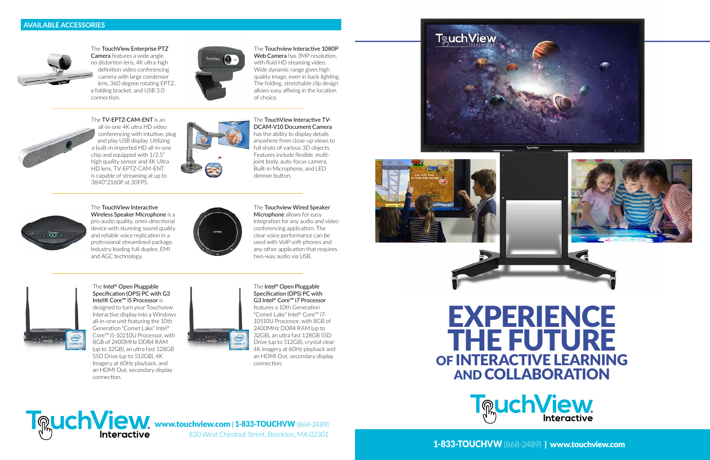www.touchview.com **|** 1-833-TOUCHVW (868-2489)

830 West Chestnut Street, Brockton, MA 02301



1-833-TOUCHVW (868-2489) |www.touchview.com

# EXPERIENCE THE FUTURE OF INTERACTIVE LEARNING AND COLLABORATION





The TouchView Enterprise PTZ Camera features a wide angle no distortion lens, 4K ultra-high definition video conferencing camera with large condenser lens, 360 degree rotating EPTZ, a folding bracket, and USB 3.0 connection.

Web Camera has 3MP resolution, with fluid HD steaming video. Wide dynamic range gives high quality image, even in back-lighting. The folding, stretchable clip design allows easy affixing in the location of choice.

#### The Touchview Interactive 1080P



The Intel® Open Pluggable Specification (OPS) PC with G3 Intel® Core™ i5 Processor is designed to turn your Touchview Interactive display into a Windows all-in-one unit featuring the 10th Generation "Comet Lake" Intel® Core™ i5-10210U Processor, with 8GB of 2400MHz DDR4 RAM (up to 32GB), an ultra fast 128GB SSD Drive (up to 512GB), 4K Imagery at 60Hz playback, and an HDMI Out, secondary display connection.



The Intel® Open Pluggable Specification (OPS) PC with G3 Intel® Core™ i7 Processor features a 10th Generation "Comet Lake" Intel® Core™ i7- 10510U Processor, with 8GB of 2400MHz DDR4 RAM (up to 32GB), an ultra fast 128GB SSD Drive (up to 512GB), crystal clear 4K imagery at 60Hz playback and an HDMI Out, secondary display connection.

## **TRuchView**









The TouchView Interactive Wireless Speaker Microphone is a pro-audio quality, omni-directional device with stunning sound quality and reliable voice replication in a professional streamlined package. Industry leading full-duplex, EMI and AGC technology.



The TouchView Interactive TV-DCAM-V10 Document Camera has the ability to display details anywhere from close-up views to full shots of various 3D objects. Features include flexible, multijoint body, auto-focus camera, Built-in Microphone, and LED dimmer button.



The Touchview Wired Speaker Microphone allows for easy integration for any audio and video conferencing application. The clear voice performance can be used with VoIP soft-phones and any other application that requires two-way audio via USB.

The TV-EPTZ-CAM-ENT is an all-in-one 4K ultra HD video conferencing with intuitive, plug and play USB display. Utilizing a built-in imported HD all-in-one chip and equipped with 1/2.5" high quality sensor and 4K Ultra HD lens, TV-EPTZ-CAM-ENT is capable of streaming at up to 3840\*2160P at 30FPS.